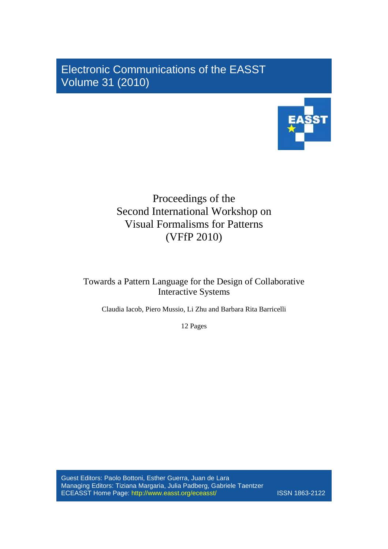Electronic Communications of the EASST Volume 31 (2010)



# Proceedings of the Second International Workshop on Visual Formalisms for Patterns (VFfP 2010)

Towards a Pattern Language for the Design of Collaborative Interactive Systems

Claudia Iacob, Piero Mussio, Li Zhu and Barbara Rita Barricelli

12 Pages

Guest Editors: Paolo Bottoni, Esther Guerra, Juan de Lara Managing Editors: Tiziana Margaria, Julia Padberg, Gabriele Taentzer ECEASST Home Page: http://www.easst.org/eceasst/ ISSN 1863-2122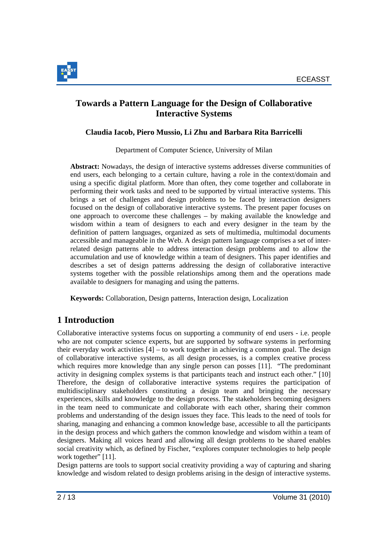

# **Towards a Pattern Language for the Design of Collaborative Interactive Systems**

#### **Claudia Iacob, Piero Mussio, Li Zhu and Barbara Rita Barricelli**

Department of Computer Science, University of Milan

**Abstract:** Nowadays, the design of interactive systems addresses diverse communities of end users, each belonging to a certain culture, having a role in the context/domain and using a specific digital platform. More than often, they come together and collaborate in performing their work tasks and need to be supported by virtual interactive systems. This brings a set of challenges and design problems to be faced by interaction designers focused on the design of collaborative interactive systems. The present paper focuses on one approach to overcome these challenges – by making available the knowledge and wisdom within a team of designers to each and every designer in the team by the definition of pattern languages, organized as sets of multimedia, multimodal documents accessible and manageable in the Web. A design pattern language comprises a set of interrelated design patterns able to address interaction design problems and to allow the accumulation and use of knowledge within a team of designers. This paper identifies and describes a set of design patterns addressing the design of collaborative interactive systems together with the possible relationships among them and the operations made available to designers for managing and using the patterns.

**Keywords:** Collaboration, Design patterns, Interaction design, Localization

# **1 Introduction**

Collaborative interactive systems focus on supporting a community of end users - i.e. people who are not computer science experts, but are supported by software systems in performing their everyday work activities  $[4]$  – to work together in achieving a common goal. The design of collaborative interactive systems, as all design processes, is a complex creative process which requires more knowledge than any single person can posses [11]. "The predominant activity in designing complex systems is that participants teach and instruct each other." [10] Therefore, the design of collaborative interactive systems requires the participation of multidisciplinary stakeholders constituting a design team and bringing the necessary experiences, skills and knowledge to the design process. The stakeholders becoming designers in the team need to communicate and collaborate with each other, sharing their common problems and understanding of the design issues they face. This leads to the need of tools for sharing, managing and enhancing a common knowledge base, accessible to all the participants in the design process and which gathers the common knowledge and wisdom within a team of designers. Making all voices heard and allowing all design problems to be shared enables social creativity which, as defined by Fischer, "explores computer technologies to help people work together" [11].

Design patterns are tools to support social creativity providing a way of capturing and sharing knowledge and wisdom related to design problems arising in the design of interactive systems.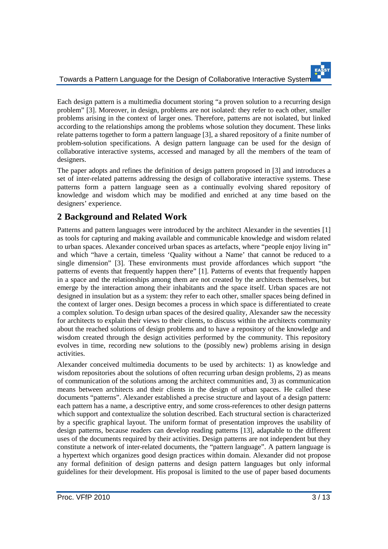Each design pattern is a multimedia document storing "a proven solution to a recurring design problem" [3]. Moreover, in design, problems are not isolated: they refer to each other, smaller problems arising in the context of larger ones. Therefore, patterns are not isolated, but linked according to the relationships among the problems whose solution they document. These links relate patterns together to form a pattern language [3], a shared repository of a finite number of problem-solution specifications. A design pattern language can be used for the design of collaborative interactive systems, accessed and managed by all the members of the team of designers.

The paper adopts and refines the definition of design pattern proposed in [3] and introduces a set of inter-related patterns addressing the design of collaborative interactive systems. These patterns form a pattern language seen as a continually evolving shared repository of knowledge and wisdom which may be modified and enriched at any time based on the designers' experience.

# **2 Background and Related Work**

Patterns and pattern languages were introduced by the architect Alexander in the seventies [1] as tools for capturing and making available and communicable knowledge and wisdom related to urban spaces. Alexander conceived urban spaces as artefacts, where "people enjoy living in" and which "have a certain, timeless 'Quality without a Name' that cannot be reduced to a single dimension" [3]. These environments must provide affordances which support "the patterns of events that frequently happen there" [1]. Patterns of events that frequently happen in a space and the relationships among them are not created by the architects themselves, but emerge by the interaction among their inhabitants and the space itself. Urban spaces are not designed in insulation but as a system: they refer to each other, smaller spaces being defined in the context of larger ones. Design becomes a process in which space is differentiated to create a complex solution. To design urban spaces of the desired quality, Alexander saw the necessity for architects to explain their views to their clients, to discuss within the architects community about the reached solutions of design problems and to have a repository of the knowledge and wisdom created through the design activities performed by the community. This repository evolves in time, recording new solutions to the (possibly new) problems arising in design activities.

Alexander conceived multimedia documents to be used by architects: 1) as knowledge and wisdom repositories about the solutions of often recurring urban design problems, 2) as means of communication of the solutions among the architect communities and, 3) as communication means between architects and their clients in the design of urban spaces. He called these documents "patterns". Alexander established a precise structure and layout of a design pattern: each pattern has a name, a descriptive entry, and some cross-references to other design patterns which support and contextualize the solution described. Each structural section is characterized by a specific graphical layout. The uniform format of presentation improves the usability of design patterns, because readers can develop reading patterns [13], adaptable to the different uses of the documents required by their activities. Design patterns are not independent but they constitute a network of inter-related documents, the "pattern language". A pattern language is a hypertext which organizes good design practices within domain. Alexander did not propose any formal definition of design patterns and design pattern languages but only informal guidelines for their development. His proposal is limited to the use of paper based documents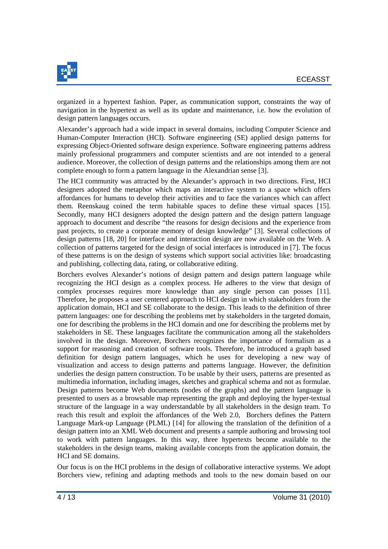

organized in a hypertext fashion. Paper, as communication support, constraints the way of navigation in the hypertext as well as its update and maintenance, i.e. how the evolution of design pattern languages occurs.

Alexander's approach had a wide impact in several domains, including Computer Science and Human-Computer Interaction (HCI). Software engineering (SE) applied design patterns for expressing Object-Oriented software design experience. Software engineering patterns address mainly professional programmers and computer scientists and are not intended to a general audience. Moreover, the collection of design patterns and the relationships among them are not complete enough to form a pattern language in the Alexandrian sense [3].

The HCI community was attracted by the Alexander's approach in two directions. First, HCI designers adopted the metaphor which maps an interactive system to a space which offers affordances for humans to develop their activities and to face the variances which can affect them. Reenskaug coined the term habitable spaces to define these virtual spaces [15]. Secondly, many HCI designers adopted the design pattern and the design pattern language approach to document and describe "the reasons for design decisions and the experience from past projects, to create a corporate memory of design knowledge" [3]. Several collections of design patterns [18, 20] for interface and interaction design are now available on the Web. A collection of patterns targeted for the design of social interfaces is introduced in [7]. The focus of these patterns is on the design of systems which support social activities like: broadcasting and publishing, collecting data, rating, or collaborative editing.

Borchers evolves Alexander's notions of design pattern and design pattern language while recognizing the HCI design as a complex process. He adheres to the view that design of complex processes requires more knowledge than any single person can posses [11]. Therefore, he proposes a user centered approach to HCI design in which stakeholders from the application domain, HCI and SE collaborate to the design. This leads to the definition of three pattern languages: one for describing the problems met by stakeholders in the targeted domain, one for describing the problems in the HCI domain and one for describing the problems met by stakeholders in SE. These languages facilitate the communication among all the stakeholders involved in the design. Moreover, Borchers recognizes the importance of formalism as a support for reasoning and creation of software tools. Therefore, he introduced a graph based definition for design pattern languages, which he uses for developing a new way of visualization and access to design patterns and patterns language. However, the definition underlies the design pattern construction. To be usable by their users, patterns are presented as multimedia information, including images, sketches and graphical schema and not as formulae. Design patterns become Web documents (nodes of the graphs) and the pattern language is presented to users as a browsable map representing the graph and deploying the hyper-textual structure of the language in a way understandable by all stakeholders in the design team. To reach this result and exploit the affordances of the Web 2.0, Borchers defines the Pattern Language Mark-up Language (PLML) [14] for allowing the translation of the definition of a design pattern into an XML Web document and presents a sample authoring and browsing tool to work with pattern languages. In this way, three hypertexts become available to the stakeholders in the design teams, making available concepts from the application domain, the HCI and SE domains.

Our focus is on the HCI problems in the design of collaborative interactive systems. We adopt Borchers view, refining and adapting methods and tools to the new domain based on our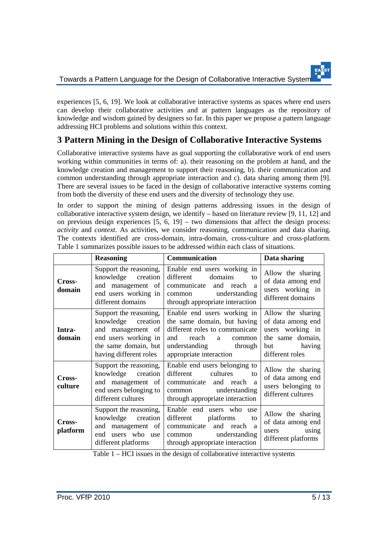experiences [5, 6, 19]. We look at collaborative interactive systems as spaces where end users can develop their collaborative activities and at pattern languages as the repository of knowledge and wisdom gained by designers so far. In this paper we propose a pattern language addressing HCI problems and solutions within this context.

# **3 Pattern Mining in the Design of Collaborative Interactive Systems**

Collaborative interactive systems have as goal supporting the collaborative work of end users working within communities in terms of: a). their reasoning on the problem at hand, and the knowledge creation and management to support their reasoning, b). their communication and common understanding through appropriate interaction and c). data sharing among them [9]. There are several issues to be faced in the design of collaborative interactive systems coming from both the diversity of these end users and the diversity of technology they use.

In order to support the mining of design patterns addressing issues in the design of collaborative interactive system design, we identify – based on literature review  $[9, 11, 12]$  and on previous design experiences [5, 6, 19] – two dimensions that affect the design process: *activity* and *context*. As activities, we consider reasoning, communication and data sharing. The contexts identified are cross-domain, intra-domain, cross-culture and cross-platform. Table 1 summarizes possible issues to be addressed within each class of situations.

|                    | <b>Reasoning</b>                                                                                                                            | Communication                                                                                                                                                                   | Data sharing                                                                                                       |
|--------------------|---------------------------------------------------------------------------------------------------------------------------------------------|---------------------------------------------------------------------------------------------------------------------------------------------------------------------------------|--------------------------------------------------------------------------------------------------------------------|
| Cross-<br>domain   | Support the reasoning,<br>knowledge creation<br>and management of<br>end users working in<br>different domains                              | Enable end users working in<br>different<br>domains<br>to<br>communicate<br>and reach<br><sub>a</sub><br>common understanding<br>through appropriate interaction                | Allow the sharing<br>of data among end<br>users working in<br>different domains                                    |
| Intra-<br>domain   | Support the reasoning,<br>knowledge creation<br>and management of<br>end users working in<br>the same domain, but<br>having different roles | Enable end users working in<br>the same domain, but having<br>different roles to communicate<br>reach<br>and<br>a<br>common<br>understanding through<br>appropriate interaction | Allow the sharing<br>of data among end<br>users working in<br>the same domain,<br>having<br>but<br>different roles |
| Cross-<br>culture  | Support the reasoning,<br>knowledge creation<br>and management of<br>end users belonging to<br>different cultures                           | Enable end users belonging to<br>different<br>cultures<br>to<br>communicate and reach a<br>common understanding<br>through appropriate interaction                              | Allow the sharing<br>of data among end<br>users belonging to<br>different cultures                                 |
| Cross-<br>platform | Support the reasoning,<br>knowledge creation<br>and management of<br>end users who use<br>different platforms                               | Enable end users who<br>use<br>different<br>platforms<br>to<br>communicate<br>and reach a<br>common understanding<br>through appropriate interaction                            | Allow the sharing<br>of data among end<br>users using<br>different platforms                                       |

Table 1 – HCI issues in the design of collaborative interactive systems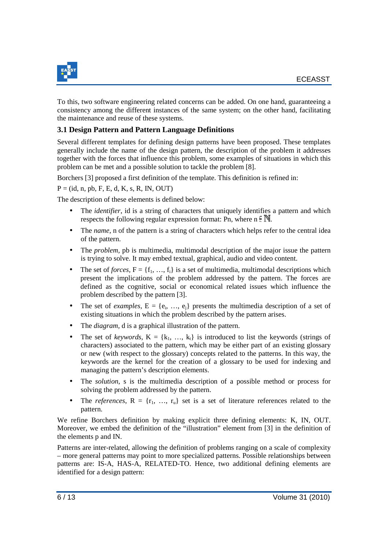

To this, two software engineering related concerns can be added. On one hand, guaranteeing a consistency among the different instances of the same system; on the other hand, facilitating the maintenance and reuse of these systems.

#### **3.1 Design Pattern and Pattern Language Definitions**

Several different templates for defining design patterns have been proposed. These templates generally include the name of the design pattern, the description of the problem it addresses together with the forces that influence this problem, some examples of situations in which this problem can be met and a possible solution to tackle the problem [8].

Borchers [3] proposed a first definition of the template. This definition is refined in:

 $P = (id, n, pb, F, E, d, K, s, R, IN, OUT)$ 

The description of these elements is defined below:

- The *identifier*, id is a string of characters that uniquely identifies a pattern and which respects the following regular expression format: Pn, where  $n \in \mathbb{N}$ .
- The *name*, n of the pattern is a string of characters which helps refer to the central idea of the pattern.
- The *problem*, pb is multimedia, multimodal description of the major issue the pattern is trying to solve. It may embed textual, graphical, audio and video content.
- The set of *forces*,  $F = \{f_1, ..., f_i\}$  is a set of multimedia, multimodal descriptions which present the implications of the problem addressed by the pattern. The forces are defined as the cognitive, social or economical related issues which influence the problem described by the pattern [3].
- The set of *examples*,  $E = \{e_i, ..., e_j\}$  presents the multimedia description of a set of existing situations in which the problem described by the pattern arises.
- The *diagram*, **d** is a graphical illustration of the pattern.
- The set of *keywords*,  $K = \{k_1, ..., k_t\}$  is introduced to list the keywords (strings of characters) associated to the pattern, which may be either part of an existing glossary or new (with respect to the glossary) concepts related to the patterns. In this way, the keywords are the kernel for the creation of a glossary to be used for indexing and managing the pattern's description elements.
- The *solution*, s is the multimedia description of a possible method or process for solving the problem addressed by the pattern.
- The *references*,  $R = \{r_1, ..., r_u\}$  set is a set of literature references related to the pattern.

We refine Borchers definition by making explicit three defining elements: K, IN, OUT. Moreover, we embed the definition of the "illustration" element from [3] in the definition of the elements p and IN.

Patterns are inter-related, allowing the definition of problems ranging on a scale of complexity – more general patterns may point to more specialized patterns. Possible relationships between patterns are: IS-A, HAS-A, RELATED-TO. Hence, two additional defining elements are identified for a design pattern: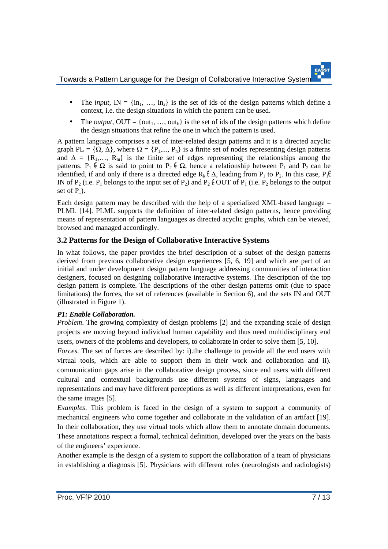Towards a Pattern Language for the Design of Collaborative Interactive Systems

- The *input*,  $IN = \{in_1, ..., in_a\}$  is the set of ids of the design patterns which define a context, i.e. the design situations in which the pattern can be used.
- The *output*,  $OUT = \{out_1, ..., out_b\}$  is the set of ids of the design patterns which define the design situations that refine the one in which the pattern is used.

A pattern language comprises a set of inter-related design patterns and it is a directed acyclic graph PL =  $\{\Omega, \Delta\}$ , where  $\Omega = \{P_1, ..., P_n\}$  is a finite set of nodes representing design patterns and  $\Delta = \{R_1, \ldots, R_m\}$  is the finite set of edges representing the relationships among the patterns.  $P_1 \n\in \Omega$  is said to point to  $P_2 \n\in \Omega$ , hence a relationship between  $P_1$  and  $P_2$  can be identified, if and only if there is a directed edge R<sub>k</sub>  $\epsilon \Delta$ , leading from P<sub>1</sub> to P<sub>2</sub>. In this case, P<sub>1</sub> $\epsilon$ IN of P<sub>2</sub> (i.e. P<sub>1</sub> belongs to the input set of P<sub>2</sub>) and P<sub>2</sub>  $\in$  OUT of P<sub>1</sub> (i.e. P<sub>2</sub> belongs to the output set of  $P_1$ ).

Each design pattern may be described with the help of a specialized XML-based language – PLML [14]. PLML supports the definition of inter-related design patterns, hence providing means of representation of pattern languages as directed acyclic graphs, which can be viewed, browsed and managed accordingly.

#### **3.2 Patterns for the Design of Collaborative Interactive Systems**

In what follows, the paper provides the brief description of a subset of the design patterns derived from previous collaborative design experiences [5, 6, 19] and which are part of an initial and under development design pattern language addressing communities of interaction designers, focused on designing collaborative interactive systems. The description of the top design pattern is complete. The descriptions of the other design patterns omit (due to space limitations) the forces, the set of references (available in Section 6), and the sets IN and OUT (illustrated in Figure 1).

#### *P1: Enable Collaboration.*

*Problem*. The growing complexity of design problems [2] and the expanding scale of design projects are moving beyond individual human capability and thus need multidisciplinary end users, owners of the problems and developers, to collaborate in order to solve them [5, 10].

*Forces*. The set of forces are described by: i).the challenge to provide all the end users with virtual tools, which are able to support them in their work and collaboration and ii). communication gaps arise in the collaborative design process, since end users with different cultural and contextual backgrounds use different systems of signs, languages and representations and may have different perceptions as well as different interpretations, even for the same images [5].

*Examples*. This problem is faced in the design of a system to support a community of mechanical engineers who come together and collaborate in the validation of an artifact [19]. In their collaboration, they use virtual tools which allow them to annotate domain documents. These annotations respect a formal, technical definition, developed over the years on the basis of the engineers' experience.

Another example is the design of a system to support the collaboration of a team of physicians in establishing a diagnosis [5]. Physicians with different roles (neurologists and radiologists)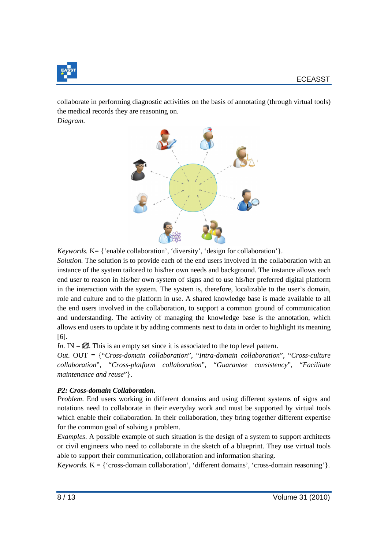

collaborate in performing diagnostic activities on the basis of annotating (through virtual tools) the medical records they are reasoning on.

*Diagram*.



*Keywords.* K= { 'enable collaboration', 'diversity', 'design for collaboration'}.

*Solution*. The solution is to provide each of the end users involved in the collaboration with an instance of the system tailored to his/her own needs and background. The instance allows each end user to reason in his/her own system of signs and to use his/her preferred digital platform in the interaction with the system. The system is, therefore, localizable to the user's domain, role and culture and to the platform in use. A shared knowledge base is made available to all the end users involved in the collaboration, to support a common ground of communication and understanding. The activity of managing the knowledge base is the annotation, which allows end users to update it by adding comments next to data in order to highlight its meaning [6].

*In*. IN =  $\emptyset$ . This is an empty set since it is associated to the top level pattern.

*Out*. OUT = {"*Cross-domain collaboration*", "*Intra-domain collaboration*", "*Cross-culture collaboration*", "*Cross-platform collaboration*", "*Guarantee consistency*", "*Facilitate maintenance and reuse*"}.

#### *P2: Cross-domain Collaboration.*

*Problem*. End users working in different domains and using different systems of signs and notations need to collaborate in their everyday work and must be supported by virtual tools which enable their collaboration. In their collaboration, they bring together different expertise for the common goal of solving a problem.

*Examples*. A possible example of such situation is the design of a system to support architects or civil engineers who need to collaborate in the sketch of a blueprint. They use virtual tools able to support their communication, collaboration and information sharing.

*Keywords.*  $K = \{ 'cross-domain collaboration', 'different domains', 'cross-domain reasoning' \}.$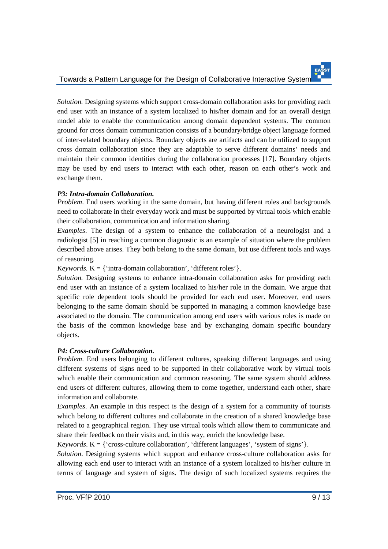*Solution.* Designing systems which support cross-domain collaboration asks for providing each end user with an instance of a system localized to his/her domain and for an overall design model able to enable the communication among domain dependent systems. The common ground for cross domain communication consists of a boundary/bridge object language formed of inter-related boundary objects. Boundary objects are artifacts and can be utilized to support cross domain collaboration since they are adaptable to serve different domains' needs and maintain their common identities during the collaboration processes [17]. Boundary objects may be used by end users to interact with each other, reason on each other's work and exchange them.

#### *P3: Intra-domain Collaboration.*

*Problem*. End users working in the same domain, but having different roles and backgrounds need to collaborate in their everyday work and must be supported by virtual tools which enable their collaboration, communication and information sharing.

*Examples*. The design of a system to enhance the collaboration of a neurologist and a radiologist [5] in reaching a common diagnostic is an example of situation where the problem described above arises. They both belong to the same domain, but use different tools and ways of reasoning.

*Keywords.*  $K = \{ 'intra-domain collaboration', 'different roles' \}.$ 

*Solution.* Designing systems to enhance intra-domain collaboration asks for providing each end user with an instance of a system localized to his/her role in the domain. We argue that specific role dependent tools should be provided for each end user. Moreover, end users belonging to the same domain should be supported in managing a common knowledge base associated to the domain. The communication among end users with various roles is made on the basis of the common knowledge base and by exchanging domain specific boundary objects.

#### *P4: Cross-culture Collaboration.*

*Problem*. End users belonging to different cultures, speaking different languages and using different systems of signs need to be supported in their collaborative work by virtual tools which enable their communication and common reasoning. The same system should address end users of different cultures, allowing them to come together, understand each other, share information and collaborate.

*Examples*. An example in this respect is the design of a system for a community of tourists which belong to different cultures and collaborate in the creation of a shared knowledge base related to a geographical region. They use virtual tools which allow them to communicate and share their feedback on their visits and, in this way, enrich the knowledge base.

*Keywords*.  $K = \{$  'cross-culture collaboration', 'different languages', 'system of signs'  $\}$ .

*Solution*. Designing systems which support and enhance cross-culture collaboration asks for allowing each end user to interact with an instance of a system localized to his/her culture in terms of language and system of signs. The design of such localized systems requires the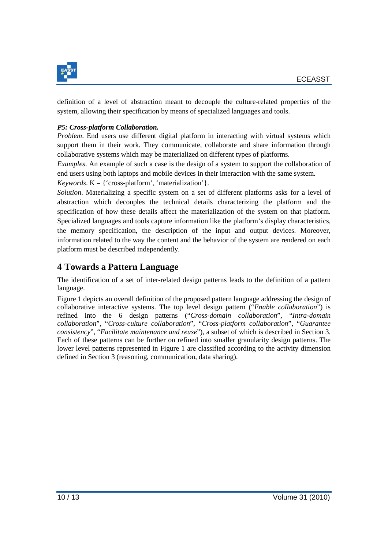

definition of a level of abstraction meant to decouple the culture-related properties of the system, allowing their specification by means of specialized languages and tools.

#### *P5: Cross-platform Collaboration.*

*Problem*. End users use different digital platform in interacting with virtual systems which support them in their work. They communicate, collaborate and share information through collaborative systems which may be materialized on different types of platforms.

*Examples*. An example of such a case is the design of a system to support the collaboration of end users using both laptops and mobile devices in their interaction with the same system.

*Keywords*.  $K = \{ 'cross\text{-}platform', 'materialization' \}.$ 

*Solution*. Materializing a specific system on a set of different platforms asks for a level of abstraction which decouples the technical details characterizing the platform and the specification of how these details affect the materialization of the system on that platform. Specialized languages and tools capture information like the platform's display characteristics, the memory specification, the description of the input and output devices. Moreover, information related to the way the content and the behavior of the system are rendered on each platform must be described independently.

### **4 Towards a Pattern Language**

The identification of a set of inter-related design patterns leads to the definition of a pattern language.

Figure 1 depicts an overall definition of the proposed pattern language addressing the design of collaborative interactive systems. The top level design pattern ("*Enable collaboration*") is refined into the 6 design patterns ("*Cross-domain collaboration*", "*Intra-domain collaboration*", "*Cross-culture collaboration*", "*Cross-platform collaboration*", "*Guarantee consistency*", "*Facilitate maintenance and reuse*"), a subset of which is described in Section 3. Each of these patterns can be further on refined into smaller granularity design patterns. The lower level patterns represented in Figure 1 are classified according to the activity dimension defined in Section 3 (reasoning, communication, data sharing).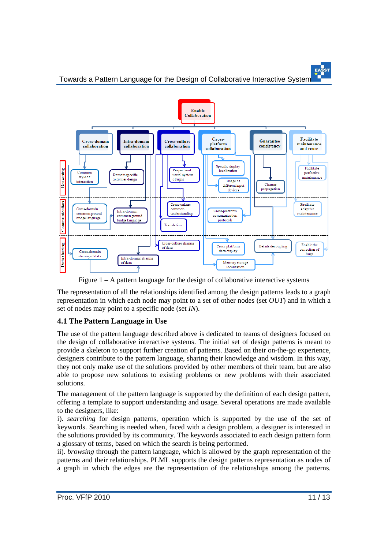Towards a Pattern Language for the Design of Collaborative Interactive Systems



Figure 1 – A pattern language for the design of collaborative interactive systems

The representation of all the relationships identified among the design patterns leads to a graph representation in which each node may point to a set of other nodes (set *OUT*) and in which a set of nodes may point to a specific node (set *IN*).

#### **4.1 The Pattern Language in Use**

The use of the pattern language described above is dedicated to teams of designers focused on the design of collaborative interactive systems. The initial set of design patterns is meant to provide a skeleton to support further creation of patterns. Based on their on-the-go experience, designers contribute to the pattern language, sharing their knowledge and wisdom. In this way, they not only make use of the solutions provided by other members of their team, but are also able to propose new solutions to existing problems or new problems with their associated solutions.

The management of the pattern language is supported by the definition of each design pattern, offering a template to support understanding and usage. Several operations are made available to the designers, like:

i). *searching* for design patterns, operation which is supported by the use of the set of keywords. Searching is needed when, faced with a design problem, a designer is interested in the solutions provided by its community. The keywords associated to each design pattern form a glossary of terms, based on which the search is being performed.

ii). *browsing* through the pattern language, which is allowed by the graph representation of the patterns and their relationships. PLML supports the design patterns representation as nodes of a graph in which the edges are the representation of the relationships among the patterns.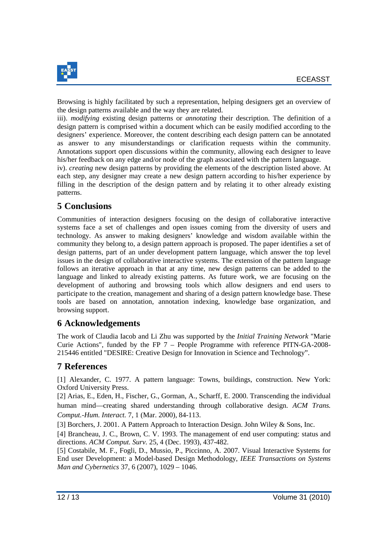

Browsing is highly facilitated by such a representation, helping designers get an overview of the design patterns available and the way they are related.

iii). *modifying* existing design patterns or *annotating* their description. The definition of a design pattern is comprised within a document which can be easily modified according to the designers' experience. Moreover, the content describing each design pattern can be annotated as answer to any misunderstandings or clarification requests within the community. Annotations support open discussions within the community, allowing each designer to leave his/her feedback on any edge and/or node of the graph associated with the pattern language.

iv). *creating* new design patterns by providing the elements of the description listed above. At each step, any designer may create a new design pattern according to his/her experience by filling in the description of the design pattern and by relating it to other already existing patterns.

# **5 Conclusions**

Communities of interaction designers focusing on the design of collaborative interactive systems face a set of challenges and open issues coming from the diversity of users and technology. As answer to making designers' knowledge and wisdom available within the community they belong to, a design pattern approach is proposed. The paper identifies a set of design patterns, part of an under development pattern language, which answer the top level issues in the design of collaborative interactive systems. The extension of the pattern language follows an iterative approach in that at any time, new design patterns can be added to the language and linked to already existing patterns. As future work, we are focusing on the development of authoring and browsing tools which allow designers and end users to participate to the creation, management and sharing of a design pattern knowledge base. These tools are based on annotation, annotation indexing, knowledge base organization, and browsing support.

# **6 Acknowledgements**

The work of Claudia Iacob and Li Zhu was supported by the *Initial Training Network* "Marie Curie Actions", funded by the FP 7 – People Programme with reference PITN-GA-2008- 215446 entitled "DESIRE: Creative Design for Innovation in Science and Technology".

### **7 References**

[1] Alexander, C. 1977. A pattern language: Towns, buildings, construction. New York: Oxford University Press.

[2] Arias, E., Eden, H., Fischer, G., Gorman, A., Scharff, E. 2000. Transcending the individual human mind—creating shared understanding through collaborative design. *ACM Trans. Comput.-Hum. Interact.* 7, 1 (Mar. 2000), 84-113.

[3] Borchers, J. 2001. A Pattern Approach to Interaction Design. John Wiley & Sons, Inc.

[4] Brancheau, J. C., Brown, C. V. 1993. The management of end user computing: status and directions. *ACM Comput. Surv.* 25, 4 (Dec. 1993), 437-482.

[5] Costabile, M. F., Fogli, D., Mussio, P., Piccinno, A. 2007. Visual Interactive Systems for End user Development: a Model-based Design Methodology, *IEEE Transactions on Systems Man and Cybernetics* 37, 6 (2007), 1029 – 1046.